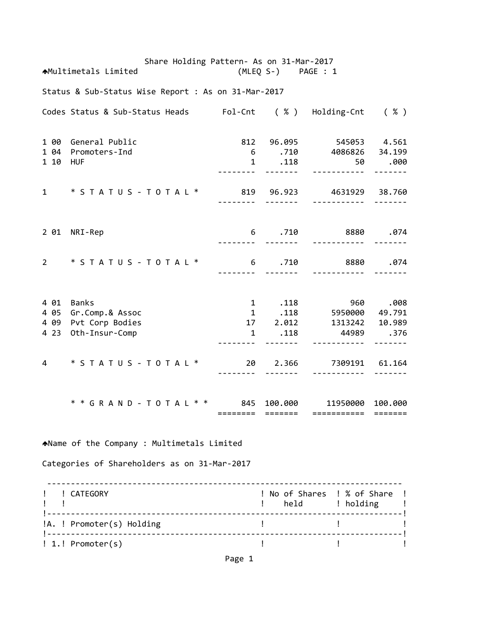Share Holding Pattern‐ As on 31‐Mar‐2017 Multimetals Limited (MLEQ S‐) PAGE : 1 Status & Sub‐Status Wise Report : As on 31‐Mar‐2017 Codes Status & Sub‐Status Heads Fol‐Cnt ( % ) Holding‐Cnt ( % ) 1 00 General Public 812 96.095 545053 4.561 1 04 Promoters‐Ind 6 .710 4086826 34.199 1 10 HUF 1 .118 50 .000 ‐‐‐‐‐‐‐‐ ‐‐‐‐‐‐‐ ‐‐‐‐‐‐‐‐‐‐‐ ‐‐‐‐‐‐‐ 1 \* S T A T U S ‐ T O T A L \* 819 96.923 4631929 38.760 ‐‐‐‐‐‐‐‐ ‐‐‐‐‐‐‐ ‐‐‐‐‐‐‐‐‐‐‐ ‐‐‐‐‐‐‐ 2 01 NRI‐Rep 6 .710 8880 .074 ‐‐‐‐‐‐‐‐ ‐‐‐‐‐‐‐ ‐‐‐‐‐‐‐‐‐‐‐ ‐‐‐‐‐‐‐ 2 \* S T A T U S ‐ T O T A L \* 6 .710 8880 .074 ‐‐‐‐‐‐‐‐ ‐‐‐‐‐‐‐ ‐‐‐‐‐‐‐‐‐‐‐ ‐‐‐‐‐‐‐ 4 01 Banks 1 .118 960 .008 4 05 Gr.Comp.& Assoc 1 .118 5950000 49.791 4 09 Pvt Corp Bodies 17 2.012 1313242 10.989 4 23 Oth‐Insur‐Comp 1 .118 44989 .376 ‐‐‐‐‐‐‐‐ ‐‐‐‐‐‐‐ ‐‐‐‐‐‐‐‐‐‐‐ ‐‐‐‐‐‐‐ 4 \* S T A T U S ‐ T O T A L \* 20 2.366 7309191 61.164 ‐‐‐‐‐‐‐‐ ‐‐‐‐‐‐‐ ‐‐‐‐‐‐‐‐‐‐‐ ‐‐‐‐‐‐‐ \* \* G R A N D ‐ T O T A L \* \* 845 100.000 11950000 100.000 ======== ======= =========== ======= Name of the Company : Multimetals Limited Categories of Shareholders as on 31‐Mar‐2017 ‐‐‐‐‐‐‐‐‐‐‐‐‐‐‐‐‐‐‐‐‐‐‐‐‐‐‐‐‐‐‐‐‐‐‐‐‐‐‐‐‐‐‐‐‐‐‐‐‐‐‐‐‐‐‐‐‐‐‐‐‐‐‐‐‐‐‐‐‐‐‐‐‐‐‐ ! ! CATEGORY ! No of Shares ! % of Share ! example to the set of the set of the set of the set of the set of the set of the set of the set of the set of t !‐‐‐‐‐‐‐‐‐‐‐‐‐‐‐‐‐‐‐‐‐‐‐‐‐‐‐‐‐‐‐‐‐‐‐‐‐‐‐‐‐‐‐‐‐‐‐‐‐‐‐‐‐‐‐‐‐‐‐‐‐‐‐‐‐‐‐‐‐‐‐‐‐‐‐! !A. ! Promoter(s) Holding ! ! !‐‐‐‐‐‐‐‐‐‐‐‐‐‐‐‐‐‐‐‐‐‐‐‐‐‐‐‐‐‐‐‐‐‐‐‐‐‐‐‐‐‐‐‐‐‐‐‐‐‐‐‐‐‐‐‐‐‐‐‐‐‐‐‐‐‐‐‐‐‐‐‐‐‐‐! ! 1.! Promoter(s) ! ! !

Page 1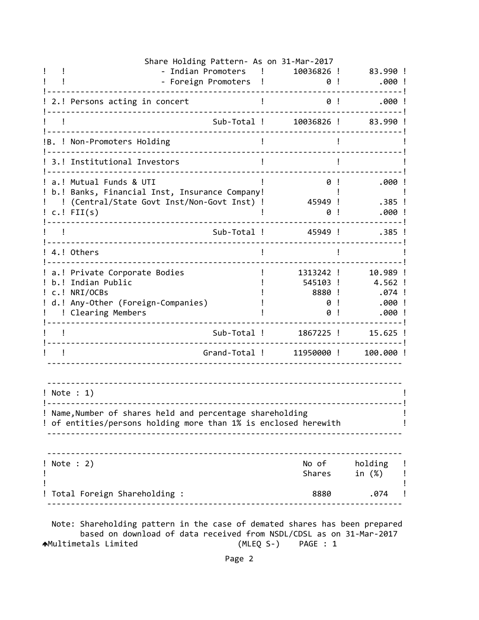| Share Holding Pattern- As on 31-Mar-2017                                                                                                      |            |                         |
|-----------------------------------------------------------------------------------------------------------------------------------------------|------------|-------------------------|
| - Indian Promoters                                                                                                                            | 10036826 ! | 83.990 !                |
| - Foreign Promoters                                                                                                                           | 0!         | $.000$ !                |
| 2.! Persons acting in concert                                                                                                                 | 0!         | .000!                   |
| Sub-Total !                                                                                                                                   | 10036826 ! | 83.990!                 |
| !B. ! Non-Promoters Holding                                                                                                                   |            |                         |
| 3.! Institutional Investors                                                                                                                   |            |                         |
| a.! Mutual Funds & UTI<br>b.! Banks, Financial Inst, Insurance Company!                                                                       | 0!         | .000!                   |
| (Central/State Govt Inst/Non-Govt Inst) !                                                                                                     | 45949 !    | .385 !                  |
| $c.$ ! FII $(s)$                                                                                                                              | 0          | .000                    |
| Sub-Total !                                                                                                                                   | 45949 !    | $.385$ !                |
| 4.! Others                                                                                                                                    |            |                         |
| a.! Private Corporate Bodies                                                                                                                  | 1313242 !  | 10.989 !                |
| b.! Indian Public                                                                                                                             | 545103 !   | 4.562 !                 |
| c.! NRI/OCBs                                                                                                                                  | 8880 !     | .074 !                  |
| d.! Any-Other (Foreign-Companies)                                                                                                             | 0          | .000!                   |
| ! Clearing Members                                                                                                                            | 0          | .000!                   |
| Sub-Total !                                                                                                                                   | 1867225 !  | $15.625$ !              |
| Grand-Total !                                                                                                                                 | 11950000 ! | 100.000 !               |
| $!$ Note : 1)<br>! Name, Number of shares held and percentage shareholding<br>! of entities/persons holding more than 1% is enclosed herewith |            |                         |
|                                                                                                                                               |            |                         |
| ! Note : 2)                                                                                                                                   | Shares     | No of holding<br>in (%) |
| Total Foreign Shareholding :                                                                                                                  |            | .074<br>8880            |
| Note: Shareholding pattern in the case of demated shares has been prepared                                                                    |            |                         |

 based on download of data received from NSDL/CDSL as on 31‐Mar‐2017 Multimetals Limited (MLEQ S‐) PAGE : 1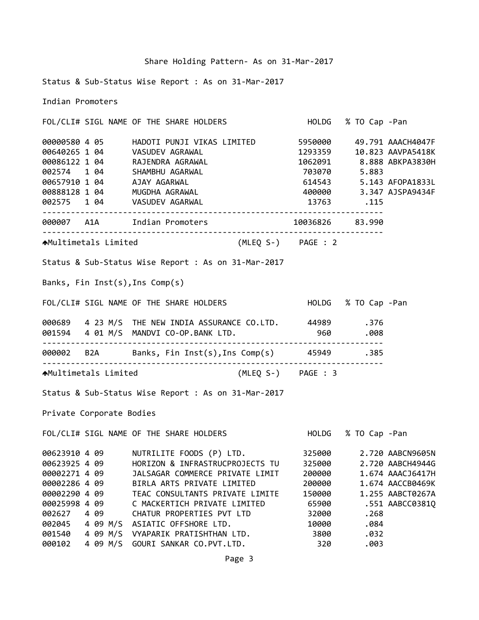Status & Sub‐Status Wise Report : As on 31‐Mar‐2017

Indian Promoters

FOL/CLI# SIGL NAME OF THE SHARE HOLDERS HOLDG % TO Cap ‐Pan 00000580 4 05 HADOTI PUNJI VIKAS LIMITED 5950000 49.791 AAACH4047F 00640265 1 04 VASUDEV AGRAWAL 1293359 10.823 AAVPA5418K 00086122 1 04 RAJENDRA AGRAWAL 1062091 8.888 ABKPA3830H 002574 1 04 SHAMBHU AGARWAL 703070 5.883 00657910 1 04 AJAY AGARWAL 614543 5.143 AFOPA1833L 00888128 1 04 MUGDHA AGRAWAL 400000 3.347 AJSPA9434F 002575 1 04 VASUDEV AGARWAL 13763 .115 ‐‐‐‐‐‐‐‐‐‐‐‐‐‐‐‐‐‐‐‐‐‐‐‐‐‐‐‐‐‐‐‐‐‐‐‐‐‐‐‐‐‐‐‐‐‐‐‐‐‐‐‐‐‐‐‐‐‐‐‐‐‐‐‐‐‐‐‐‐‐‐‐ 000007 A1A Indian Promoters 10036826 83.990 ‐‐‐‐‐‐‐‐‐‐‐‐‐‐‐‐‐‐‐‐‐‐‐‐‐‐‐‐‐‐‐‐‐‐‐‐‐‐‐‐‐‐‐‐‐‐‐‐‐‐‐‐‐‐‐‐‐‐‐‐‐‐‐‐‐‐‐‐‐‐‐‐ Multimetals Limited (MLEQ S‐) PAGE : 2 Status & Sub‐Status Wise Report : As on 31‐Mar‐2017 Banks, Fin Inst(s),Ins Comp(s) FOL/CLI# SIGL NAME OF THE SHARE HOLDERS HOLDG % TO Cap ‐Pan 000689 4 23 M/S THE NEW INDIA ASSURANCE CO.LTD. 44989 .376 001594 4 01 M/S MANDVI CO‐OP.BANK LTD. 960 .008 ‐‐‐‐‐‐‐‐‐‐‐‐‐‐‐‐‐‐‐‐‐‐‐‐‐‐‐‐‐‐‐‐‐‐‐‐‐‐‐‐‐‐‐‐‐‐‐‐‐‐‐‐‐‐‐‐‐‐‐‐‐‐‐‐‐‐‐‐‐‐‐‐ 000002 B2A Banks, Fin Inst(s),Ins Comp(s) 45949 .385 ‐‐‐‐‐‐‐‐‐‐‐‐‐‐‐‐‐‐‐‐‐‐‐‐‐‐‐‐‐‐‐‐‐‐‐‐‐‐‐‐‐‐‐‐‐‐‐‐‐‐‐‐‐‐‐‐‐‐‐‐‐‐‐‐‐‐‐‐‐‐‐‐ Multimetals Limited (MLEQ S‐) PAGE : 3 Status & Sub‐Status Wise Report : As on 31‐Mar‐2017 Private Corporate Bodies FOL/CLI# SIGL NAME OF THE SHARE HOLDERS HOLDG % TO Cap ‐Pan 00623910 4 09 NUTRILITE FOODS (P) LTD. 325000 2.720 AABCN9605N 00623925 4 09 HORIZON & INFRASTRUCPROJECTS TU 325000 2.720 AABCH4944G 00002271 4 09 JALSAGAR COMMERCE PRIVATE LIMIT 200000 1.674 AAACJ6417H 00002286 4 09 BIRLA ARTS PRIVATE LIMITED 200000 1.674 AACCB0469K 00002290 4 09 TEAC CONSULTANTS PRIVATE LIMITE 150000 1.255 AABCT0267A 00025998 4 09 C MACKERTICH PRIVATE LIMITED 65900 .551 AABCC0381Q 002627 4 09 CHATUR PROPERTIES PVT LTD 32000 .268 002045 4 09 M/S ASIATIC OFFSHORE LTD. 10000 .084

001540 4 09 M/S VYAPARIK PRATISHTHAN LTD. 3800 .032 000102 4 09 M/S GOURI SANKAR CO.PVT.LTD. 320 .003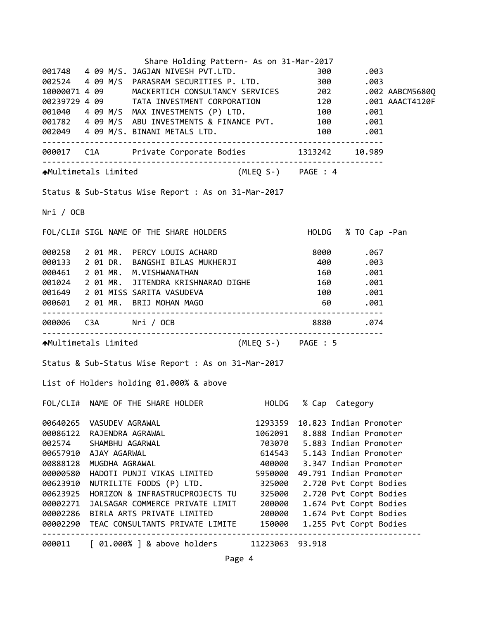|           |                  | Share Holding Pattern- As on 31-Mar-2017                                                                                               |               |        |                                  |  |
|-----------|------------------|----------------------------------------------------------------------------------------------------------------------------------------|---------------|--------|----------------------------------|--|
|           |                  |                                                                                                                                        |               |        |                                  |  |
|           |                  |                                                                                                                                        |               |        |                                  |  |
|           |                  |                                                                                                                                        |               |        |                                  |  |
|           |                  |                                                                                                                                        |               |        |                                  |  |
|           |                  | 001040  4  09  M/S  MAX  INVESTMENTS  (P) LTD.  100  100  100  .001<br>001782  4  09  M/S  ABU  INVESTMENTS & FINANCE  PVT.  100  .001 |               |        |                                  |  |
|           |                  |                                                                                                                                        |               |        |                                  |  |
|           |                  |                                                                                                                                        |               |        |                                  |  |
|           |                  | 000017 C1A Private Corporate Bodies 1313242 10.989                                                                                     |               |        |                                  |  |
|           |                  | AMultimetals Limited (MLEQ S-) PAGE : 4                                                                                                |               |        |                                  |  |
|           |                  | Status & Sub-Status Wise Report : As on 31-Mar-2017                                                                                    |               |        |                                  |  |
| Nri / OCB |                  |                                                                                                                                        |               |        |                                  |  |
|           |                  | FOL/CLI# SIGL NAME OF THE SHARE HOLDERS                                                                                                |               |        | HOLDG % TO Cap -Pan              |  |
|           |                  |                                                                                                                                        |               |        |                                  |  |
|           |                  | 000258 2 01 MR. PERCY LOUIS ACHARD 8000 8000 .067<br>000133 2 01 DR. BANGSHI BILAS MUKHERJI 400 .003                                   |               |        |                                  |  |
|           |                  | 000461 2 01 MR. M.VISHWANATHAN                                                                                                         | $160$ . $001$ |        |                                  |  |
|           |                  | 001024 2 01 MR. JITENDRA KRISHNARAO DIGHE 160 .001                                                                                     |               |        |                                  |  |
|           |                  |                                                                                                                                        |               |        | 100.001                          |  |
|           |                  | 001649   2 01 MISS SARITA VASUDEVA<br>000601   2 01 MR.  BRIJ MOHAN MAGO                                                               |               |        |                                  |  |
|           |                  |                                                                                                                                        |               |        |                                  |  |
|           |                  |                                                                                                                                        |               |        |                                  |  |
|           |                  | AMultimetals Limited (MLEQ S-) PAGE : 5                                                                                                |               |        |                                  |  |
|           |                  | Status & Sub-Status Wise Report : As on 31-Mar-2017                                                                                    |               |        |                                  |  |
|           |                  | List of Holders holding 01.000% & above                                                                                                |               |        |                                  |  |
|           |                  | FOL/CLI# NAME OF THE SHARE HOLDER                                                                                                      |               |        | HOLDG % Cap Category             |  |
| 00640265  | VASUDEV AGRAWAL  |                                                                                                                                        | 1293359       |        | 10.823 Indian Promoter           |  |
| 00086122  | RAJENDRA AGRAWAL |                                                                                                                                        |               |        | 1062091 8.888 Indian Promoter    |  |
| 002574    | SHAMBHU AGARWAL  |                                                                                                                                        |               |        | 703070   5.883   Indian Promoter |  |
| 00657910  | AJAY AGARWAL     |                                                                                                                                        |               |        | 614543 5.143 Indian Promoter     |  |
| 00888128  | MUGDHA AGRAWAL   |                                                                                                                                        | 400000        |        | 3.347 Indian Promoter            |  |
| 00000580  |                  | HADOTI PUNJI VIKAS LIMITED                                                                                                             | 5950000       |        | 49.791 Indian Promoter           |  |
| 00623910  |                  | NUTRILITE FOODS (P) LTD.                                                                                                               | 325000        |        | 2.720 Pvt Corpt Bodies           |  |
| 00623925  |                  | HORIZON & INFRASTRUCPROJECTS TU                                                                                                        | 325000        |        | 2.720 Pvt Corpt Bodies           |  |
| 00002271  |                  | JALSAGAR COMMERCE PRIVATE LIMIT                                                                                                        | 200000        |        | 1.674 Pvt Corpt Bodies           |  |
| 00002286  |                  | BIRLA ARTS PRIVATE LIMITED                                                                                                             | 200000        |        | 1.674 Pvt Corpt Bodies           |  |
|           |                  | 00002290 TEAC CONSULTANTS PRIVATE LIMITE                                                                                               | 150000        |        | 1.255 Pvt Corpt Bodies           |  |
| 000011    |                  | $[01.000%]$ & above holders                                                                                                            | 11223063      | 93.918 |                                  |  |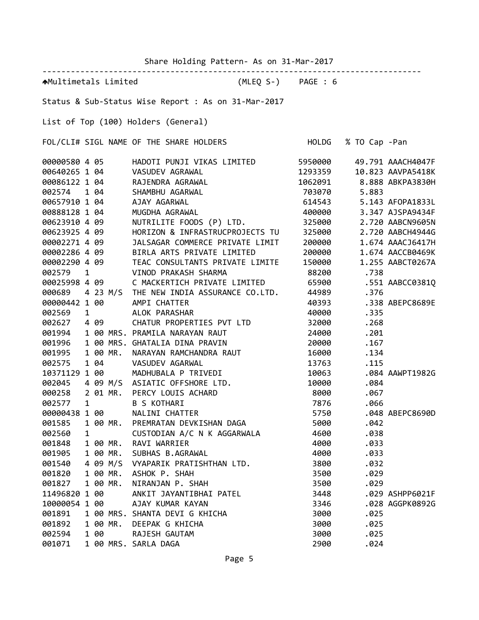Share Holding Pattern‐ As on 31‐Mar‐2017

| AMultimetals Limited (MLEQ S-) PAGE : 6                                       |                                                                           |              |            |                          |  |  |  |  |  |
|-------------------------------------------------------------------------------|---------------------------------------------------------------------------|--------------|------------|--------------------------|--|--|--|--|--|
| Status & Sub-Status Wise Report : As on 31-Mar-2017                           |                                                                           |              |            |                          |  |  |  |  |  |
| List of Top (100) Holders (General)                                           |                                                                           |              |            |                          |  |  |  |  |  |
| FOL/CLI# SIGL NAME OF THE SHARE HOLDERS HOLD HOLDG % TO Cap -Pan              |                                                                           |              |            |                          |  |  |  |  |  |
|                                                                               |                                                                           |              |            | 49.791 AAACH4047F        |  |  |  |  |  |
|                                                                               |                                                                           |              |            | 10.823 AAVPA5418K        |  |  |  |  |  |
|                                                                               |                                                                           |              |            | 1062091 8.888 ABKPA3830H |  |  |  |  |  |
|                                                                               |                                                                           |              | 5.883      |                          |  |  |  |  |  |
|                                                                               |                                                                           |              |            | 5.143 AFOPA1833L         |  |  |  |  |  |
|                                                                               |                                                                           |              |            | 3.347 AJSPA9434F         |  |  |  |  |  |
| 00623910 4 09                                                                 | NUTRILITE FOODS (P) LTD. 325000<br>HORIZON & INFRASTRUCPROJECTS TU 325000 |              |            | 2.720 AABCN9605N         |  |  |  |  |  |
| 00623925 4 09                                                                 |                                                                           |              |            | 2.720 AABCH4944G         |  |  |  |  |  |
| 00002271 4 09                                                                 | JALSAGAR COMMERCE PRIVATE LIMIT                                           | 200000       |            | 1.674 AAACJ6417H         |  |  |  |  |  |
| 00002286 4 09                                                                 | BIRLA ARTS PRIVATE LIMITED                                                | 200000       |            | 1.674 AACCB0469K         |  |  |  |  |  |
| 00002290 4 09 TEAC CONSULTANTS PRIVATE LIMITE                                 |                                                                           | 150000       |            | 1.255 AABCT0267A         |  |  |  |  |  |
| VINOD PRAKASH SHARMA<br>002579<br>$\overline{1}$                              |                                                                           | 88200 .738   |            |                          |  |  |  |  |  |
| 00025998 4 09 C MACKERTICH PRIVATE LIMITED 65900 .551 AABCC0381Q              |                                                                           |              |            |                          |  |  |  |  |  |
| 000689  4 23 M/S THE NEW INDIA ASSURANCE CO.LTD. 44989  .376                  |                                                                           |              |            |                          |  |  |  |  |  |
| 00000442 1 00 AMPI CHATTER                                                    |                                                                           | 40393        |            | .338 ABEPC8689E          |  |  |  |  |  |
| 002569<br>1 ALOK PARASHAR                                                     |                                                                           | 40000        | .335       |                          |  |  |  |  |  |
| 002627 4 09 CHATUR PROPERTIES PVT LTD                                         |                                                                           | 32000        | .268       |                          |  |  |  |  |  |
| 001994 1 00 MRS. PRAMILA NARAYAN RAUT                                         |                                                                           |              | 24000 .201 |                          |  |  |  |  |  |
| 1 00 MRS. GHATALIA DINA PRAVIN<br>001996                                      |                                                                           |              | 20000 .167 |                          |  |  |  |  |  |
| 1 00 MR.<br>001995                                                            |                                                                           |              | 16000 .134 |                          |  |  |  |  |  |
| 1 04<br>002575<br>VASUDEV AGARWAL                                             | NARAYAN RAMCHANDRA RAUT<br>VASUDEV AGARWAI                                |              | 13763 .115 |                          |  |  |  |  |  |
| 10371129 1 00                                                                 | MADHUBALA P TRIVEDI                                                       |              |            | 10063 .084 AAWPT1982G    |  |  |  |  |  |
| 002045                                                                        | 4 09 M/S ASIATIC OFFSHORE LTD.                                            | 10000        | .084       |                          |  |  |  |  |  |
| 000258<br>2 01 MR. PERCY LOUIS ACHARD                                         |                                                                           |              | 8000.067   |                          |  |  |  |  |  |
| 002577<br>$\mathbf{1}$<br><b>B S KOTHARI</b>                                  |                                                                           |              | 7876 .066  |                          |  |  |  |  |  |
| 00000438 1 00 NALINI CHATTER                                                  |                                                                           | 5750         |            | .048 ABEPC8690D          |  |  |  |  |  |
| 001585<br>1 00 MR.                                                            | PREMRATAN DEVKISHAN DAGA                                                  | 5000         | .042       |                          |  |  |  |  |  |
| 002560<br>$\mathbf{1}$                                                        | CUSTODIAN A/C N K AGGARWALA                                               | 4600         | .038       |                          |  |  |  |  |  |
| 001848<br>RAVI WARRIER<br>1 00 MR.                                            |                                                                           | 4000         | .033       |                          |  |  |  |  |  |
| 001905<br>1 00 MR.<br>SUBHAS B.AGRAWAL                                        |                                                                           | 4000         | .033       |                          |  |  |  |  |  |
| 4 09 M/S<br>001540                                                            | VYAPARIK PRATISHTHAN LTD.                                                 | 3800         | .032       |                          |  |  |  |  |  |
| 001820<br>1 00 MR.<br>ASHOK P. SHAH                                           |                                                                           | 3500         | .029       |                          |  |  |  |  |  |
| 001827<br>1 00 MR.<br>NIRANJAN P. SHAH                                        |                                                                           |              | .029       |                          |  |  |  |  |  |
| 11496820 1 00                                                                 | ANKIT JAYANTIBHAI PATEL                                                   | 3500<br>3448 |            | .029 ASHPP6021F          |  |  |  |  |  |
|                                                                               |                                                                           |              |            |                          |  |  |  |  |  |
| 10000054 1 00<br>AJAY KUMAR KAYAN<br>1 00 MRS. SHANTA DEVI G KHICHA<br>001891 |                                                                           | 3346         |            | .028 AGGPK0892G          |  |  |  |  |  |
|                                                                               |                                                                           | 3000         | .025       |                          |  |  |  |  |  |
| 001892<br>1 00 MR.<br>DEEPAK G KHICHA                                         |                                                                           | 3000         | .025       |                          |  |  |  |  |  |
| 1 00<br>RAJESH GAUTAM<br>002594                                               |                                                                           | 3000         | .025       |                          |  |  |  |  |  |
| 001071<br>1 00 MRS. SARLA DAGA                                                |                                                                           | 2900         | .024       |                          |  |  |  |  |  |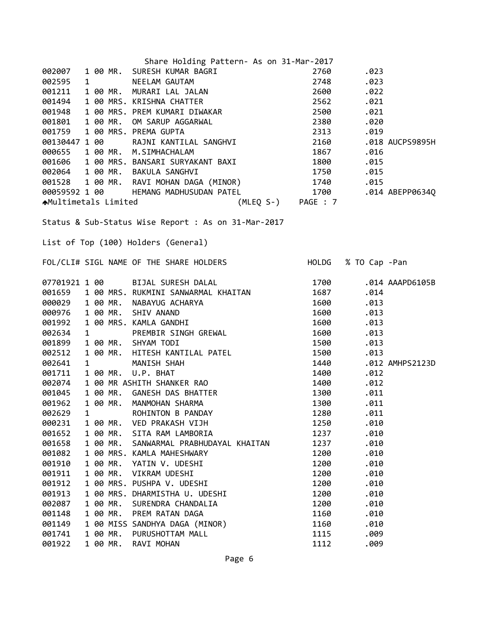|               |   |          | Share Holding Pattern- As on 31-Mar-2017                                                                                                                                                                                               |                   |                     |                 |
|---------------|---|----------|----------------------------------------------------------------------------------------------------------------------------------------------------------------------------------------------------------------------------------------|-------------------|---------------------|-----------------|
| 002007        |   |          | 1 00 MR. SURESH KUMAR BAGRI                                                                                                                                                                                                            | 2760              | .023                |                 |
| 002595        |   |          |                                                                                                                                                                                                                                        | 2748              | .023                |                 |
| 001211        |   |          |                                                                                                                                                                                                                                        | 2600              | .022                |                 |
| 001494        |   |          |                                                                                                                                                                                                                                        | 2562              | .021                |                 |
| 001948        |   |          |                                                                                                                                                                                                                                        | 2500              | .021                |                 |
| 001801        |   |          |                                                                                                                                                                                                                                        | 2380              | .020                |                 |
| 001759        |   |          |                                                                                                                                                                                                                                        | 2313              | .019                |                 |
| 00130447 1 00 |   |          | 1 00 MR. MURARI LAL JALAN<br>1 00 MR. MURARI LAL JALAN<br>1 00 MRS. KRISHNA CHATTER<br>1 00 MRS. PREM KUMARI DIWAKAR<br>1 00 MR. OM SARUP AGGARWAL<br>1 00 MRS. PREMA GUPTA<br>1 00 RAJNI KANTILAL SANGHVI                             | 2160              |                     | .018 AUCPS9895H |
|               |   |          |                                                                                                                                                                                                                                        |                   |                     |                 |
|               |   |          |                                                                                                                                                                                                                                        |                   |                     |                 |
|               |   |          |                                                                                                                                                                                                                                        |                   |                     |                 |
|               |   |          |                                                                                                                                                                                                                                        |                   |                     |                 |
|               |   |          |                                                                                                                                                                                                                                        |                   |                     |                 |
|               |   |          | 000655 1 00 MR. M.SIMHACHALAM<br>0015055 1 00 MR. M.SIMHACHALAM<br>001606 1 00 MRS. BANSARI SURYAKANT BAXI 1800 .015<br>002064 1 00 MR. BAKULA SANGHVI 1750 .015<br>001528 1 00 MR. RAVI MOHAN DAGA (MINOR) 1740 .015<br>00059592 1 00 |                   |                     |                 |
|               |   |          |                                                                                                                                                                                                                                        |                   |                     |                 |
|               |   |          | Status & Sub-Status Wise Report : As on 31-Mar-2017                                                                                                                                                                                    |                   |                     |                 |
|               |   |          |                                                                                                                                                                                                                                        |                   |                     |                 |
|               |   |          | List of Top (100) Holders (General)                                                                                                                                                                                                    |                   |                     |                 |
|               |   |          |                                                                                                                                                                                                                                        |                   |                     |                 |
|               |   |          | FOL/CLI# SIGL NAME OF THE SHARE HOLDERS                                                                                                                                                                                                |                   | HOLDG % TO Cap -Pan |                 |
|               |   |          | 1700<br>07701921 1 00 BIJAL SURESH DALAL                                                                                                                                                                                               |                   |                     | .014 AAAPD6105B |
|               |   |          |                                                                                                                                                                                                                                        | 1687 — 1687 — 168 | .014                |                 |
|               |   |          |                                                                                                                                                                                                                                        | 1600              | .013                |                 |
|               |   |          |                                                                                                                                                                                                                                        | 1600              | .013                |                 |
|               |   |          |                                                                                                                                                                                                                                        | 1600              | .013                |                 |
|               |   |          |                                                                                                                                                                                                                                        | 1600              | .013                |                 |
|               |   |          | 07701921 1 00<br>001659 1 00 MRS. RUKMINI SANWARMAL KHAITAN<br>000029 1 00 MR. NABAYUG ACHARYA<br>000976 1 00 MR. SHIV ANAND<br>001992 1 00 MRS. KAMLA GANDHI<br>002634 1 PREMBIR SINGH GREWAL<br>001899 1 00 MR. SHYAM TODI           | 1500              | .013                |                 |
| 002512        |   |          |                                                                                                                                                                                                                                        | 1500              | .013                |                 |
| 002641        |   |          |                                                                                                                                                                                                                                        | 1440              |                     | .012 AMHPS2123D |
| 001711        |   |          |                                                                                                                                                                                                                                        | 1400              | .012                |                 |
| 002074        |   |          | 1 00 MR. HITESH KANTILAL PATEL<br>1 MANISH SHAH<br>1 00 MR. U.P. BHAT<br>1 00 MR ASHITH SHANKER RAO<br>1 00 MR. GANESH DAS BHATTER<br>1 00 MR. GANESH DAS BHATTER                                                                      | 1400              | .012                |                 |
| 001045        |   |          |                                                                                                                                                                                                                                        | 1300              | .011                |                 |
| 001962        |   | 1 00 MR. | MANMOHAN SHARMA                                                                                                                                                                                                                        | 1300              | .011                |                 |
| 002629        | 1 |          | ROHINTON B PANDAY                                                                                                                                                                                                                      | 1280              | .011                |                 |
| 000231        |   | 1 00 MR. | VED PRAKASH VIJH                                                                                                                                                                                                                       | 1250              | .010                |                 |
| 001652        |   | 1 00 MR. | SITA RAM LAMBORIA                                                                                                                                                                                                                      | 1237              | .010                |                 |
| 001658        |   | 1 00 MR. | SANWARMAL PRABHUDAYAL KHAITAN                                                                                                                                                                                                          | 1237              | .010                |                 |
| 001082        |   |          | 1 00 MRS. KAMLA MAHESHWARY                                                                                                                                                                                                             | 1200              | .010                |                 |
| 001910        |   | 1 00 MR. | YATIN V. UDESHI                                                                                                                                                                                                                        | 1200              | .010                |                 |
| 001911        |   | 1 00 MR. | VIKRAM UDESHI                                                                                                                                                                                                                          | 1200              | .010                |                 |
| 001912        |   |          | 1 00 MRS. PUSHPA V. UDESHI                                                                                                                                                                                                             | 1200              | .010                |                 |
| 001913        |   |          | 1 00 MRS. DHARMISTHA U. UDESHI                                                                                                                                                                                                         | 1200              | .010                |                 |
| 002087        |   | 1 00 MR. | SURENDRA CHANDALIA                                                                                                                                                                                                                     | 1200              | .010                |                 |
| 001148        |   | 1 00 MR. | PREM RATAN DAGA                                                                                                                                                                                                                        | 1160              | .010                |                 |
| 001149        |   |          | 1 00 MISS SANDHYA DAGA (MINOR)                                                                                                                                                                                                         | 1160              | .010                |                 |
| 001741        |   | 1 00 MR. | PURUSHOTTAM MALL                                                                                                                                                                                                                       | 1115              | .009                |                 |
| 001922        |   | 1 00 MR. | RAVI MOHAN                                                                                                                                                                                                                             | 1112              | .009                |                 |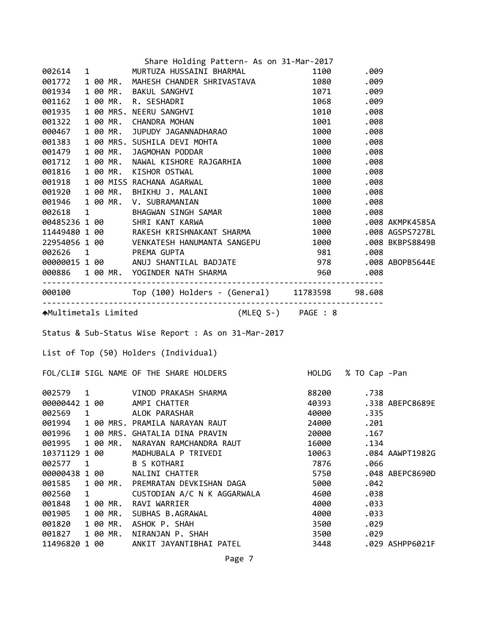|                  |   |  |                      | Share Holding Pattern- As on 31-Mar-2017                                                                                                                                                                                               |              |              |                 |  |  |  |
|------------------|---|--|----------------------|----------------------------------------------------------------------------------------------------------------------------------------------------------------------------------------------------------------------------------------|--------------|--------------|-----------------|--|--|--|
|                  |   |  |                      | 002614 1 MURTUZA HUSSAINI BHARMAL                                                                                                                                                                                                      |              | 1100.009     |                 |  |  |  |
| 001772           |   |  |                      | 1 00 MR. MAHESH CHANDER SHRIVASTAVA 1080 .009                                                                                                                                                                                          |              |              |                 |  |  |  |
|                  |   |  |                      |                                                                                                                                                                                                                                        |              |              |                 |  |  |  |
|                  |   |  |                      |                                                                                                                                                                                                                                        |              |              |                 |  |  |  |
|                  |   |  |                      |                                                                                                                                                                                                                                        |              |              |                 |  |  |  |
|                  |   |  |                      |                                                                                                                                                                                                                                        |              |              |                 |  |  |  |
|                  |   |  |                      |                                                                                                                                                                                                                                        |              |              |                 |  |  |  |
|                  |   |  |                      |                                                                                                                                                                                                                                        |              |              |                 |  |  |  |
|                  |   |  |                      |                                                                                                                                                                                                                                        |              |              |                 |  |  |  |
|                  |   |  |                      |                                                                                                                                                                                                                                        |              |              |                 |  |  |  |
|                  |   |  |                      |                                                                                                                                                                                                                                        |              |              |                 |  |  |  |
|                  |   |  |                      |                                                                                                                                                                                                                                        |              |              |                 |  |  |  |
|                  |   |  |                      |                                                                                                                                                                                                                                        |              |              |                 |  |  |  |
|                  |   |  |                      | 691/2/2 1 θ/ MK, MAHLSH CHANDER SHKIVASIAVA<br>691933 1 θ/ MR, RAKUL SANGHVI<br>691935 1 θ/ MR, CHANDR MOHAN<br>691935 1 θ/ MR, CHANDR MOHAN<br>692432 1 θ/ MR, CHANDR MOHAN<br>69247 1 θ/ MR, NUPUDY JAGANNADHARAO<br>691383 1 θ/ MR, |              |              |                 |  |  |  |
|                  |   |  |                      |                                                                                                                                                                                                                                        |              |              |                 |  |  |  |
|                  |   |  |                      |                                                                                                                                                                                                                                        |              |              |                 |  |  |  |
|                  |   |  |                      |                                                                                                                                                                                                                                        |              |              |                 |  |  |  |
|                  |   |  |                      |                                                                                                                                                                                                                                        |              |              |                 |  |  |  |
|                  |   |  |                      |                                                                                                                                                                                                                                        |              |              |                 |  |  |  |
|                  |   |  |                      |                                                                                                                                                                                                                                        |              |              |                 |  |  |  |
|                  |   |  |                      | 22954056 1 00 VENKATESH HANUMANTA SANGEPU 100 .008 BKBPS8849B<br>002626 1 PREMA GUPTA 981 .008 BKBPS8849B<br>00000015 1 00 ANUJ SHANTILAL BADJATE 978 .008 ABOPB5644E<br>000886 1 00 MR. YOGINDER NATH SHARMA 960 .008<br>------------ |              |              |                 |  |  |  |
|                  |   |  |                      |                                                                                                                                                                                                                                        |              |              |                 |  |  |  |
|                  |   |  |                      |                                                                                                                                                                                                                                        |              |              |                 |  |  |  |
|                  |   |  |                      |                                                                                                                                                                                                                                        |              |              |                 |  |  |  |
|                  |   |  |                      |                                                                                                                                                                                                                                        |              |              |                 |  |  |  |
|                  |   |  |                      | AMultimetals Limited (MLEQ S-) PAGE : 8                                                                                                                                                                                                |              |              |                 |  |  |  |
|                  |   |  |                      |                                                                                                                                                                                                                                        |              |              |                 |  |  |  |
|                  |   |  |                      | Status & Sub-Status Wise Report : As on 31-Mar-2017                                                                                                                                                                                    |              |              |                 |  |  |  |
|                  |   |  |                      | List of Top (50) Holders (Individual)                                                                                                                                                                                                  |              |              |                 |  |  |  |
|                  |   |  |                      |                                                                                                                                                                                                                                        |              |              |                 |  |  |  |
|                  |   |  |                      | FOL/CLI# SIGL NAME OF THE SHARE HOLDERS FOLLOG % TO Cap -Pan                                                                                                                                                                           |              |              |                 |  |  |  |
|                  |   |  |                      |                                                                                                                                                                                                                                        |              |              |                 |  |  |  |
|                  |   |  |                      | 002579 1 VINOD PRAKASH SHARMA<br>aaaaaaaa aa ampt chatter                                                                                                                                                                              |              | 88200 .738   |                 |  |  |  |
|                  |   |  |                      | 00000442 1 00 AMPI CHATTER                                                                                                                                                                                                             | 40393        |              | .338 ABEPC8689E |  |  |  |
| 002569           | 1 |  |                      | ALOK PARASHAR                                                                                                                                                                                                                          | 40000        | .335         |                 |  |  |  |
| 001994           |   |  |                      | 1 00 MRS. PRAMILA NARAYAN RAUT                                                                                                                                                                                                         | 24000        | .201         |                 |  |  |  |
| 001996           |   |  |                      | 1 00 MRS. GHATALIA DINA PRAVIN                                                                                                                                                                                                         | 20000        | .167         |                 |  |  |  |
| 001995           |   |  | 1 00 MR.             | NARAYAN RAMCHANDRA RAUT                                                                                                                                                                                                                | 16000        | .134         |                 |  |  |  |
| 10371129 1 00    |   |  |                      | MADHUBALA P TRIVEDI                                                                                                                                                                                                                    | 10063        |              | .084 AAWPT1982G |  |  |  |
| 002577           | 1 |  |                      | <b>B S KOTHARI</b>                                                                                                                                                                                                                     | 7876         | .066         |                 |  |  |  |
| 00000438 1 00    |   |  |                      | NALINI CHATTER                                                                                                                                                                                                                         | 5750         |              | .048 ABEPC8690D |  |  |  |
| 001585           |   |  | 1 00 MR.             | PREMRATAN DEVKISHAN DAGA                                                                                                                                                                                                               | 5000         | .042         |                 |  |  |  |
| 002560           | 1 |  |                      | CUSTODIAN A/C N K AGGARWALA                                                                                                                                                                                                            | 4600         | .038         |                 |  |  |  |
| 001848           |   |  | 1 00 MR.             | RAVI WARRIER                                                                                                                                                                                                                           | 4000         | .033         |                 |  |  |  |
| 001905           |   |  | 1 00 MR.             | SUBHAS B.AGRAWAL                                                                                                                                                                                                                       | 4000         | .033         |                 |  |  |  |
| 001820<br>001827 |   |  | 1 00 MR.<br>1 00 MR. | ASHOK P. SHAH<br>NIRANJAN P. SHAH                                                                                                                                                                                                      | 3500<br>3500 | .029<br>.029 |                 |  |  |  |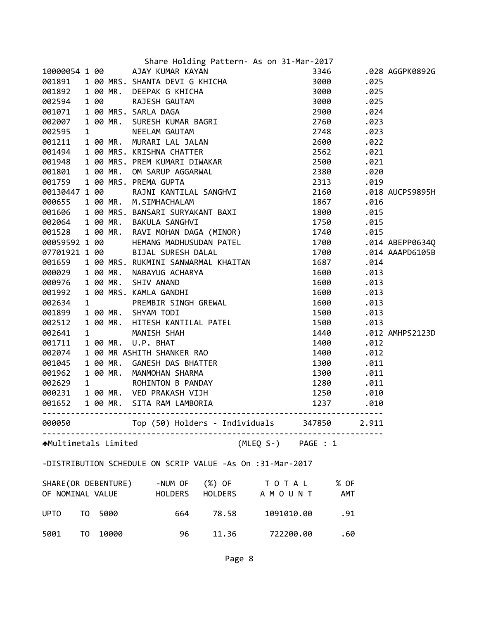|                              |  |         | Share Holding Pattern- As on 31-Mar-2017                                                                                                                                                                                                        |            |      |                 |
|------------------------------|--|---------|-------------------------------------------------------------------------------------------------------------------------------------------------------------------------------------------------------------------------------------------------|------------|------|-----------------|
|                              |  |         |                                                                                                                                                                                                                                                 |            |      | .028 AGGPK0892G |
|                              |  |         |                                                                                                                                                                                                                                                 |            | .025 |                 |
|                              |  |         |                                                                                                                                                                                                                                                 |            | .025 |                 |
|                              |  |         |                                                                                                                                                                                                                                                 |            |      |                 |
|                              |  |         |                                                                                                                                                                                                                                                 |            | .024 |                 |
|                              |  |         |                                                                                                                                                                                                                                                 |            | .023 |                 |
|                              |  |         |                                                                                                                                                                                                                                                 |            | .023 |                 |
|                              |  |         |                                                                                                                                                                                                                                                 |            | .022 |                 |
|                              |  |         |                                                                                                                                                                                                                                                 |            | .021 |                 |
|                              |  |         |                                                                                                                                                                                                                                                 |            | .021 |                 |
|                              |  |         | Share Holding Pattern- As on 31-Mar-2017<br>001891 100 AJN KUMAR KAYAN<br>001891 100 MRS. SHANTA DEVIG KATICHA<br>001892 100 MR. DEEPAK G KHICHA 3000<br>002594 100 RAJESH GAUTAM 3000<br>002594 100 RAJESH GAUTAM 3000<br>002617 100 MRS.      |            | .020 |                 |
|                              |  |         |                                                                                                                                                                                                                                                 |            | .019 |                 |
|                              |  |         |                                                                                                                                                                                                                                                 |            |      | .018 AUCPS9895H |
|                              |  |         |                                                                                                                                                                                                                                                 |            | .016 |                 |
|                              |  |         |                                                                                                                                                                                                                                                 |            |      |                 |
|                              |  |         |                                                                                                                                                                                                                                                 |            | .015 |                 |
|                              |  |         |                                                                                                                                                                                                                                                 |            | .015 |                 |
|                              |  |         |                                                                                                                                                                                                                                                 |            | .015 |                 |
| 00059592 1 00                |  |         | HEMANG MADHUSUDAN PATEL 1700                                                                                                                                                                                                                    |            |      | .014 ABEPP0634Q |
|                              |  |         |                                                                                                                                                                                                                                                 |            |      | .014 AAAPD6105B |
|                              |  |         |                                                                                                                                                                                                                                                 |            | .014 |                 |
|                              |  |         |                                                                                                                                                                                                                                                 | 1600       | .013 |                 |
|                              |  |         |                                                                                                                                                                                                                                                 | 1600       | .013 |                 |
|                              |  |         |                                                                                                                                                                                                                                                 | 1600       | .013 |                 |
|                              |  |         |                                                                                                                                                                                                                                                 | 1600       | .013 |                 |
|                              |  |         | 000029 1 00 MR. NABAYUG ACHARYA<br>000976 1 00 MR. SHIV ANAND<br>001992 1 00 MRS. KAMLA GANDHI<br>002634 1 PREMBIR SINGH GREWAL<br>001899 1 00 MR. SHYAM TODI<br>002512 1 00 MR. HITESH KANTILAL PATEL<br>002512 1 00 MR. HITESH KANTILAL PATEL | 1500       | .013 |                 |
|                              |  |         |                                                                                                                                                                                                                                                 | 1500       | .013 |                 |
| 002641                       |  |         |                                                                                                                                                                                                                                                 | 1440       |      | .012 AMHPS2123D |
| 001711                       |  |         |                                                                                                                                                                                                                                                 | 1400       | .012 |                 |
| 002074                       |  |         |                                                                                                                                                                                                                                                 | 1400       | .012 |                 |
| 001045                       |  |         |                                                                                                                                                                                                                                                 | 1300       | .011 |                 |
| 001962                       |  |         |                                                                                                                                                                                                                                                 | 1300       | .011 |                 |
| 002629                       |  |         |                                                                                                                                                                                                                                                 | 1280       | .011 |                 |
| 000231                       |  |         |                                                                                                                                                                                                                                                 | 1250       | .010 |                 |
| 001652                       |  |         | 1 00 MR. HITESH KANTILAL PATEL<br>1 00 MR. U.P. BHAT<br>1 00 MR ASHITH SHANKER RAO<br>1 00 MR. GANESH DAS BHATTER<br>1 00 MR. MANMOHAN SHARMA<br>1 00 MR. WED PRAKASH VIJH<br>1 00 MR. VED PRAKASH VIJH<br>1 00 MR. SITA RAM LAMBORIA           | 1237       | .010 |                 |
|                              |  |         |                                                                                                                                                                                                                                                 |            |      |                 |
|                              |  |         | 000050 Top (50) Holders - Individuals 347850 2.911                                                                                                                                                                                              |            |      |                 |
| <b>↑</b> Multimetals Limited |  |         | (MLEQ S-) PAGE : 1                                                                                                                                                                                                                              |            |      |                 |
|                              |  |         | -DISTRIBUTION SCHEDULE ON SCRIP VALUE -As On :31-Mar-2017                                                                                                                                                                                       |            |      |                 |
|                              |  |         |                                                                                                                                                                                                                                                 |            |      |                 |
|                              |  |         | SHARE (OR DEBENTURE) -NUM OF (%) OF TO TAL % OF                                                                                                                                                                                                 |            |      |                 |
|                              |  |         | OF NOMINAL VALUE THOLDERS HOLDERS A MOUNT AMT                                                                                                                                                                                                   |            |      |                 |
| <b>UPTO</b>                  |  | TO 5000 | 664 78.58                                                                                                                                                                                                                                       | 1091010.00 | .91  |                 |
|                              |  |         |                                                                                                                                                                                                                                                 |            |      |                 |
| 5001 TO                      |  | 10000   | 11.36<br>96                                                                                                                                                                                                                                     | 722200.00  | .60  |                 |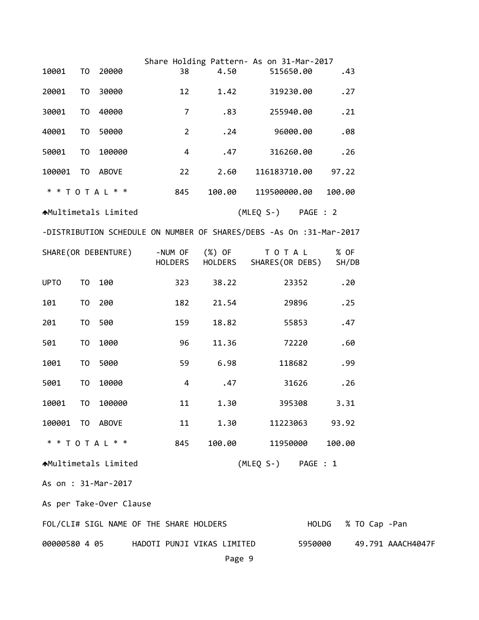|                                          |                |                   |                    | Share Holding Pattern- As on 31-Mar-2017                            |                    |                |          |        |               |                     |  |  |
|------------------------------------------|----------------|-------------------|--------------------|---------------------------------------------------------------------|--------------------|----------------|----------|--------|---------------|---------------------|--|--|
| 10001                                    | T0             | 20000             | 38                 | 4.50                                                                |                    | 515650.00      |          |        | .43           |                     |  |  |
| 20001                                    | T <sub>0</sub> | 30000             | 12                 | 1.42                                                                |                    | 319230.00      |          |        | .27           |                     |  |  |
| 30001                                    | T <sub>0</sub> | 40000             | $\overline{7}$     | .83                                                                 |                    | 255940.00      |          |        | .21           |                     |  |  |
| 40001                                    | T <sub>0</sub> | 50000             | $\overline{2}$     | .24                                                                 |                    | 96000.00       |          |        | .08           |                     |  |  |
| 50001                                    | T <sub>0</sub> | 100000            | 4                  | .47                                                                 |                    | 316260.00      |          |        | .26           |                     |  |  |
| 100001                                   |                | TO ABOVE          | 22                 | 2.60                                                                |                    | 116183710.00   |          | 97.22  |               |                     |  |  |
|                                          |                | * * T O T A L * * | 845                | 100.00                                                              |                    | 119500000.00   |          | 100.00 |               |                     |  |  |
| AMultimetals Limited                     |                |                   |                    |                                                                     | (MLEQ S-)          |                | PAGE : 2 |        |               |                     |  |  |
|                                          |                |                   |                    | -DISTRIBUTION SCHEDULE ON NUMBER OF SHARES/DEBS -As On :31-Mar-2017 |                    |                |          |        |               |                     |  |  |
| SHARE (OR DEBENTURE)                     |                |                   | -NUM OF<br>HOLDERS | (%) OF<br>HOLDERS                                                   | SHARES(OR DEBS)    | TOTAL          |          |        | % OF<br>SH/DB |                     |  |  |
| <b>UPTO</b>                              | T0             | 100               | 323                | 38.22                                                               |                    | 23352          |          |        | .20           |                     |  |  |
| 101                                      | T0             | 200               | 182                | 21.54                                                               |                    | 29896          |          |        | .25           |                     |  |  |
| 201                                      | T0             | 500               | 159                | 18.82                                                               |                    | 55853          |          |        | .47           |                     |  |  |
| 501                                      | T <sub>0</sub> | 1000              | 96                 | 11.36                                                               |                    | 72220          |          |        | .60           |                     |  |  |
| 1001                                     | T <sub>0</sub> | 5000              | 59                 | 6.98                                                                |                    | 118682         |          |        | .99           |                     |  |  |
| 5001                                     | T <sub>0</sub> | 10000             | 4                  | .47                                                                 |                    | 31626          |          |        | .26           |                     |  |  |
| 10001                                    | TO             | 100000            | 11                 | 1.30                                                                |                    | 395308         |          |        | 3.31          |                     |  |  |
| 100001 TO ABOVE                          |                |                   | 11                 | 1.30                                                                |                    | 11223063 93.92 |          |        |               |                     |  |  |
|                                          |                | * * T O T A L * * | 845                | 100.00                                                              |                    | 11950000       |          | 100.00 |               |                     |  |  |
| ★Multimetals Limited                     |                |                   |                    |                                                                     | (MLEQ S-) PAGE : 1 |                |          |        |               |                     |  |  |
| As on : 31-Mar-2017                      |                |                   |                    |                                                                     |                    |                |          |        |               |                     |  |  |
| As per Take-Over Clause                  |                |                   |                    |                                                                     |                    |                |          |        |               |                     |  |  |
| FOL/CLI# SIGL NAME OF THE SHARE HOLDERS  |                |                   |                    |                                                                     |                    |                |          |        |               | HOLDG % TO Cap -Pan |  |  |
| 00000580 4 05 HADOTI PUNJI VIKAS LIMITED |                |                   |                    |                                                                     |                    | 5950000        |          |        |               | 49.791 AAACH4047F   |  |  |
|                                          |                |                   |                    | Page 9                                                              |                    |                |          |        |               |                     |  |  |